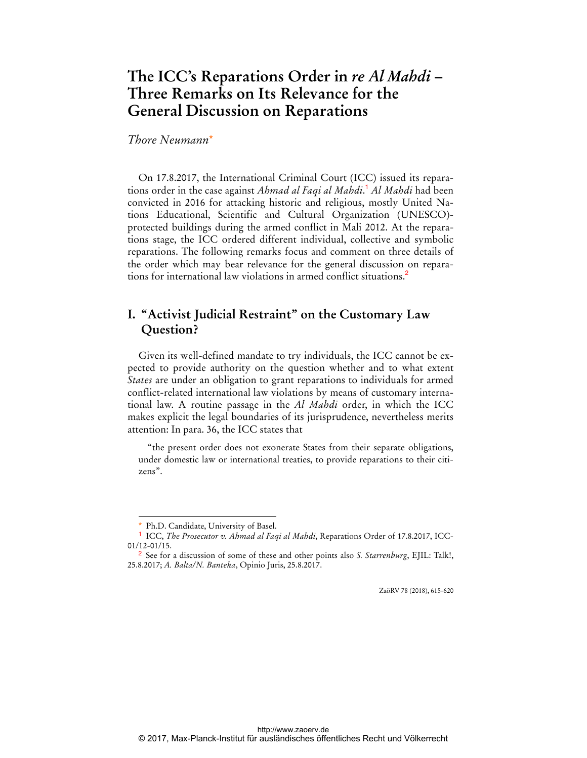# **The ICC's Reparations Order in** *re Al Mahdi* **– Three Remarks on Its Relevance for the General Discussion on Reparations**

### *Thore Neumann*\*

On 17.8.2017, the International Criminal Court (ICC) issued its reparations order in the case against *Ahmad al Faqi al Mahdi*. <sup>1</sup> *Al Mahdi* had been convicted in 2016 for attacking historic and religious, mostly United Nations Educational, Scientific and Cultural Organization (UNESCO) protected buildings during the armed conflict in Mali 2012. At the reparations stage, the ICC ordered different individual, collective and symbolic reparations. The following remarks focus and comment on three details of the order which may bear relevance for the general discussion on reparations for international law violations in armed conflict situations.<sup>2</sup>

## **I. "Activist Judicial Restraint" on the Customary Law Question?**

Given its well-defined mandate to try individuals, the ICC cannot be expected to provide authority on the question whether and to what extent *States* are under an obligation to grant reparations to individuals for armed conflict-related international law violations by means of customary international law. A routine passage in the *Al Mahdi* order, in which the ICC makes explicit the legal boundaries of its jurisprudence, nevertheless merits attention: In para. 36, the ICC states that

"the present order does not exonerate States from their separate obligations, under domestic law or international treaties, to provide reparations to their citizens".

 $\overline{a}$ 

ZaöRV 78 (2018), 615-620

Ph.D. Candidate, University of Basel.

<sup>1</sup> ICC, *The Prosecutor v. Ahmad al Faqi al Mahdi*, Reparations Order of 17.8.2017, ICC-01/12-01/15.

<sup>2</sup> See for a discussion of some of these and other points also *S. Starrenburg*, EJIL: Talk!, 25.8.2017; *A. Balta/N. Banteka*, Opinio Juris, 25.8.2017.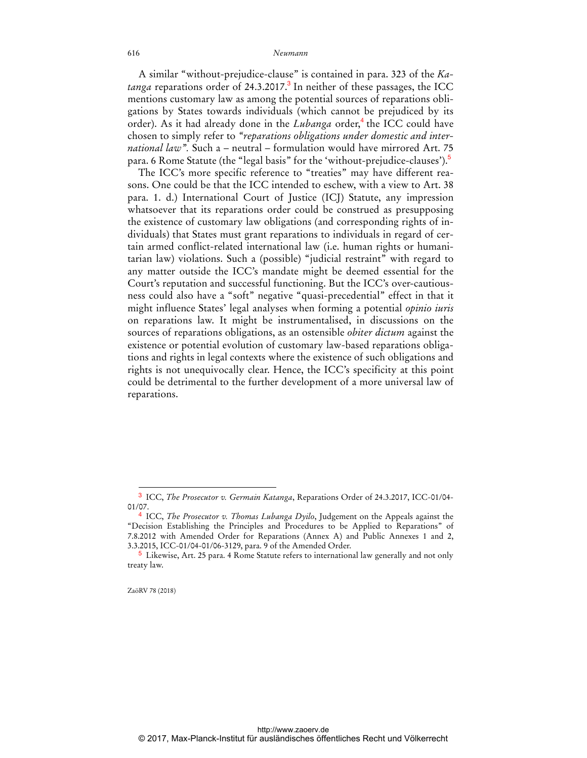#### 616 *Neumann*

A similar "without-prejudice-clause" is contained in para. 323 of the *Ka*t*anga* reparations order of 24.3.2017.<sup>3</sup> In neither of these passages, the ICC mentions customary law as among the potential sources of reparations obligations by States towards individuals (which cannot be prejudiced by its order). As it had already done in the *Lubanga* order,<sup>4</sup> the ICC could have chosen to simply refer to *"reparations obligations under domestic and international law".* Such a – neutral – formulation would have mirrored Art. 75 para. 6 Rome Statute (the "legal basis" for the 'without-prejudice-clauses').<sup>5</sup>

The ICC's more specific reference to "treaties" may have different reasons. One could be that the ICC intended to eschew, with a view to Art. 38 para. 1. d.) International Court of Justice (ICJ) Statute, any impression whatsoever that its reparations order could be construed as presupposing the existence of customary law obligations (and corresponding rights of individuals) that States must grant reparations to individuals in regard of certain armed conflict-related international law (i.e. human rights or humanitarian law) violations. Such a (possible) "judicial restraint" with regard to any matter outside the ICC's mandate might be deemed essential for the Court's reputation and successful functioning. But the ICC's over-cautiousness could also have a "soft" negative "quasi-precedential" effect in that it might influence States' legal analyses when forming a potential *opinio iuris* on reparations law. It might be instrumentalised, in discussions on the sources of reparations obligations, as an ostensible *obiter dictum* against the existence or potential evolution of customary law-based reparations obligations and rights in legal contexts where the existence of such obligations and rights is not unequivocally clear. Hence, the ICC's specificity at this point could be detrimental to the further development of a more universal law of reparations.

ZaöRV 78 (2018)

 $\overline{a}$ 

<sup>3</sup> ICC, *The Prosecutor v. Germain Katanga*, Reparations Order of 24.3.2017, ICC-01/04- 01/07.

<sup>4</sup> ICC, *The Prosecutor v. Thomas Lubanga Dyilo*, Judgement on the Appeals against the "Decision Establishing the Principles and Procedures to be Applied to Reparations" of 7.8.2012 with Amended Order for Reparations (Annex A) and Public Annexes 1 and 2, 3.3.2015, ICC-01/04-01/06-3129, para. 9 of the Amended Order.

<sup>5</sup> Likewise, Art. 25 para. 4 Rome Statute refers to international law generally and not only treaty law.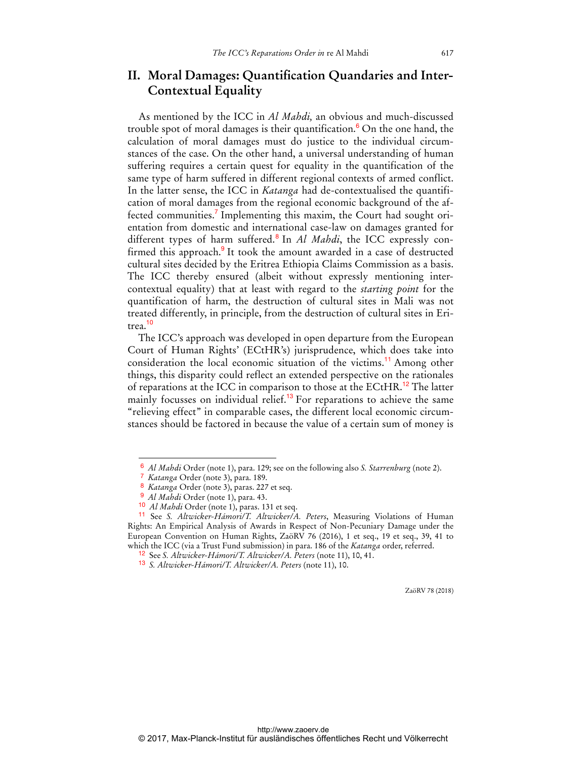## **II. Moral Damages: Quantification Quandaries and Inter-Contextual Equality**

As mentioned by the ICC in *Al Mahdi,* an obvious and much-discussed trouble spot of moral damages is their quantification.<sup>6</sup> On the one hand, the calculation of moral damages must do justice to the individual circumstances of the case. On the other hand, a universal understanding of human suffering requires a certain quest for equality in the quantification of the same type of harm suffered in different regional contexts of armed conflict. In the latter sense, the ICC in *Katanga* had de-contextualised the quantification of moral damages from the regional economic background of the affected communities.<sup>7</sup> Implementing this maxim, the Court had sought orientation from domestic and international case-law on damages granted for different types of harm suffered.<sup>8</sup> In *Al Mahdi*, the ICC expressly confirmed this approach.<sup>9</sup> It took the amount awarded in a case of destructed cultural sites decided by the Eritrea Ethiopia Claims Commission as a basis. The ICC thereby ensured (albeit without expressly mentioning intercontextual equality) that at least with regard to the *starting point* for the quantification of harm, the destruction of cultural sites in Mali was not treated differently, in principle, from the destruction of cultural sites in Eritrea.<sup>10</sup>

The ICC's approach was developed in open departure from the European Court of Human Rights' (ECtHR's) jurisprudence, which does take into consideration the local economic situation of the victims.<sup>11</sup> Among other things, this disparity could reflect an extended perspective on the rationales of reparations at the ICC in comparison to those at the ECtHR.<sup>12</sup> The latter mainly focusses on individual relief.<sup>13</sup> For reparations to achieve the same "relieving effect" in comparable cases, the different local economic circumstances should be factored in because the value of a certain sum of money is

 $\overline{a}$ 

ZaöRV 78 (2018)

<sup>6</sup> *Al Mahdi* Order (note 1), para. 129; see on the following also *S. Starrenburg* (note 2).

<sup>7</sup> *Katanga* Order (note 3), para. 189.

<sup>8</sup> *Katanga* Order (note 3), paras. 227 et seq.

<sup>9</sup> *Al Mahdi* Order (note 1), para. 43.

<sup>10</sup> *Al Mahdi* Order (note 1), paras. 131 et seq.

<sup>11</sup> See *S. Altwicker-Hámori/T. Altwicker/A. Peters*, Measuring Violations of Human Rights: An Empirical Analysis of Awards in Respect of Non-Pecuniary Damage under the European Convention on Human Rights, ZaöRV 76 (2016), 1 et seq., 19 et seq., 39, 41 to which the ICC (via a Trust Fund submission) in para. 186 of the *Katanga* order, referred.

<sup>12</sup> See *S. Altwicker-Hámori/T. Altwicker/A. Peters* (note 11), 10, 41.

<sup>13</sup> *S. Altwicker-Hámori/T. Altwicker/A. Peters* (note 11), 10.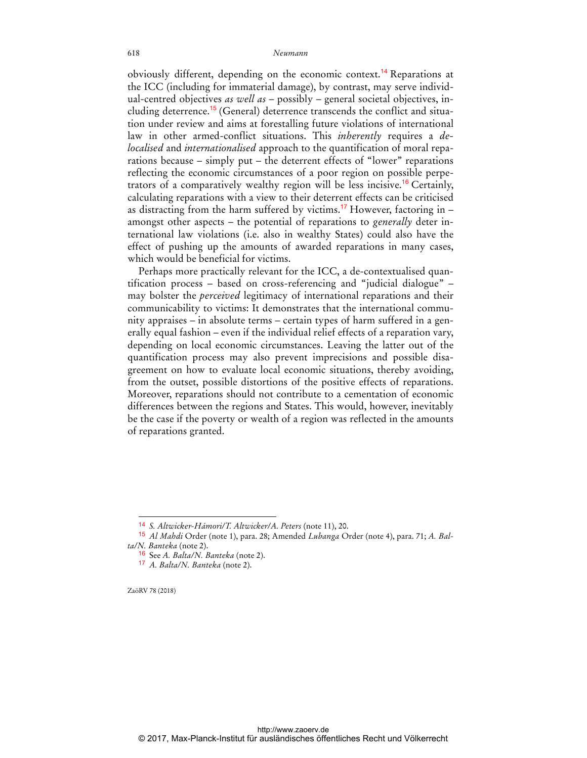#### 618 *Neumann*

obviously different, depending on the economic context.<sup>14</sup> Reparations at the ICC (including for immaterial damage), by contrast, may serve individual-centred objectives *as well as* – possibly – general societal objectives, including deterrence.<sup>15</sup> (General) deterrence transcends the conflict and situation under review and aims at forestalling future violations of international law in other armed-conflict situations. This *inherently* requires a *delocalised* and *internationalised* approach to the quantification of moral reparations because – simply put – the deterrent effects of "lower" reparations reflecting the economic circumstances of a poor region on possible perpetrators of a comparatively wealthy region will be less incisive.<sup>16</sup> Certainly, calculating reparations with a view to their deterrent effects can be criticised as distracting from the harm suffered by victims.<sup>17</sup> However, factoring in  $$ amongst other aspects – the potential of reparations to *generally* deter international law violations (i.e. also in wealthy States) could also have the effect of pushing up the amounts of awarded reparations in many cases, which would be beneficial for victims.

Perhaps more practically relevant for the ICC, a de-contextualised quantification process – based on cross-referencing and "judicial dialogue" – may bolster the *perceived* legitimacy of international reparations and their communicability to victims: It demonstrates that the international community appraises – in absolute terms – certain types of harm suffered in a generally equal fashion – even if the individual relief effects of a reparation vary, depending on local economic circumstances. Leaving the latter out of the quantification process may also prevent imprecisions and possible disagreement on how to evaluate local economic situations, thereby avoiding, from the outset, possible distortions of the positive effects of reparations. Moreover, reparations should not contribute to a cementation of economic differences between the regions and States. This would, however, inevitably be the case if the poverty or wealth of a region was reflected in the amounts of reparations granted.

ZaöRV 78 (2018)

 $\overline{a}$ 

<sup>14</sup> *S. Altwicker-Hámori/T. Altwicker/A. Peters* (note 11), 20.

<sup>15</sup> *Al Mahdi* Order (note 1), para. 28; Amended *Lubanga* Order (note 4), para. 71; *A. Balta/N. Banteka* (note 2).

<sup>16</sup> See *A. Balta/N. Banteka* (note 2).

<sup>17</sup> *A. Balta/N. Banteka* (note 2).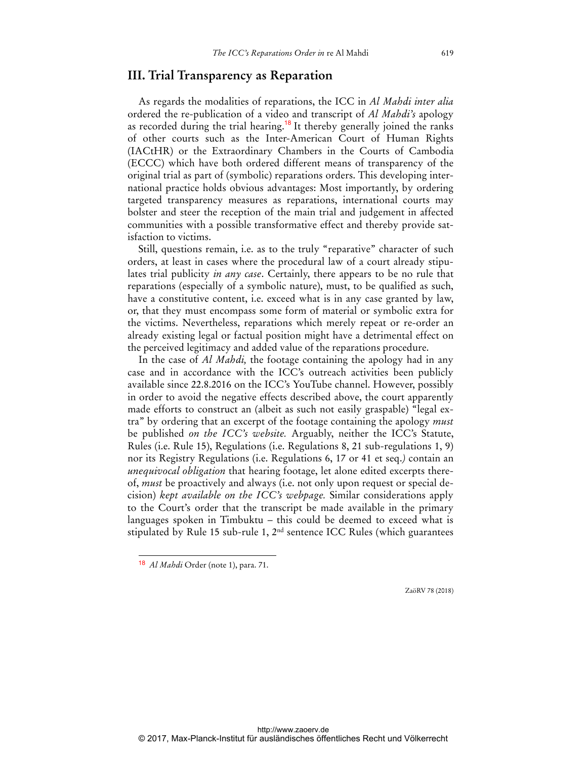### **III. Trial Transparency as Reparation**

As regards the modalities of reparations, the ICC in *Al Mahdi inter alia* ordered the re-publication of a video and transcript of *Al Mahdi's* apology as recorded during the trial hearing.<sup>18</sup> It thereby generally joined the ranks of other courts such as the Inter-American Court of Human Rights (IACtHR) or the Extraordinary Chambers in the Courts of Cambodia (ECCC) which have both ordered different means of transparency of the original trial as part of (symbolic) reparations orders. This developing international practice holds obvious advantages: Most importantly, by ordering targeted transparency measures as reparations, international courts may bolster and steer the reception of the main trial and judgement in affected communities with a possible transformative effect and thereby provide satisfaction to victims.

Still, questions remain, i.e. as to the truly "reparative" character of such orders, at least in cases where the procedural law of a court already stipulates trial publicity *in any case*. Certainly, there appears to be no rule that reparations (especially of a symbolic nature), must, to be qualified as such, have a constitutive content, i.e. exceed what is in any case granted by law, or, that they must encompass some form of material or symbolic extra for the victims. Nevertheless, reparations which merely repeat or re-order an already existing legal or factual position might have a detrimental effect on the perceived legitimacy and added value of the reparations procedure.

In the case of *Al Mahdi,* the footage containing the apology had in any case and in accordance with the ICC's outreach activities been publicly available since 22.8.2016 on the ICC's YouTube channel. However, possibly in order to avoid the negative effects described above, the court apparently made efforts to construct an (albeit as such not easily graspable) "legal extra" by ordering that an excerpt of the footage containing the apology *must* be published *on the ICC's website.* Arguably, neither the ICC's Statute, Rules (i.e. Rule 15), Regulations (i.e. Regulations 8, 21 sub-regulations 1, 9) nor its Registry Regulations (i.e. Regulations 6, 17 or 41 et seq.*)* contain an *unequivocal obligation* that hearing footage, let alone edited excerpts thereof, *must* be proactively and always (i.e. not only upon request or special decision) *kept available on the ICC's webpage.* Similar considerations apply to the Court's order that the transcript be made available in the primary languages spoken in Timbuktu – this could be deemed to exceed what is stipulated by Rule 15 sub-rule 1, 2nd sentence ICC Rules (which guarantees

 $\ddot{ }$ 

ZaöRV 78 (2018)

<sup>18</sup> *Al Mahdi* Order (note 1), para. 71.